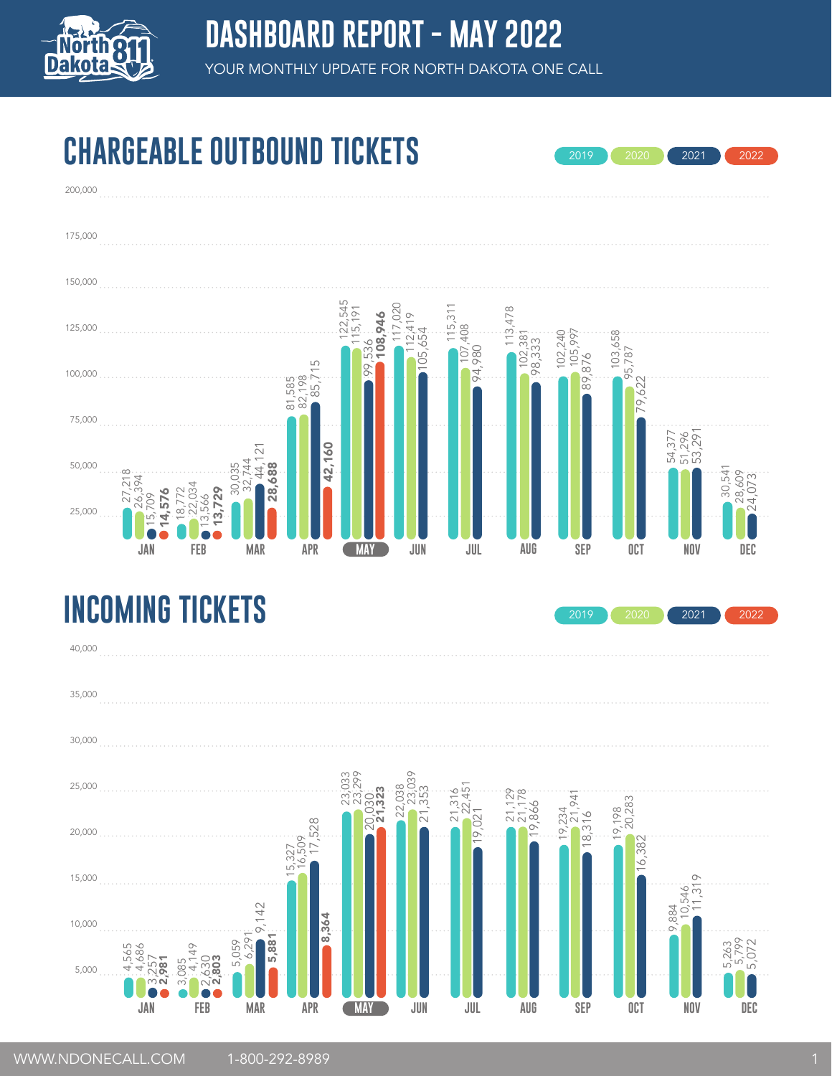

#### **CHARGEABLE OUTBOUND TICKETS**



#### **INCOMING TICKETS**



2019 2020 2021 2022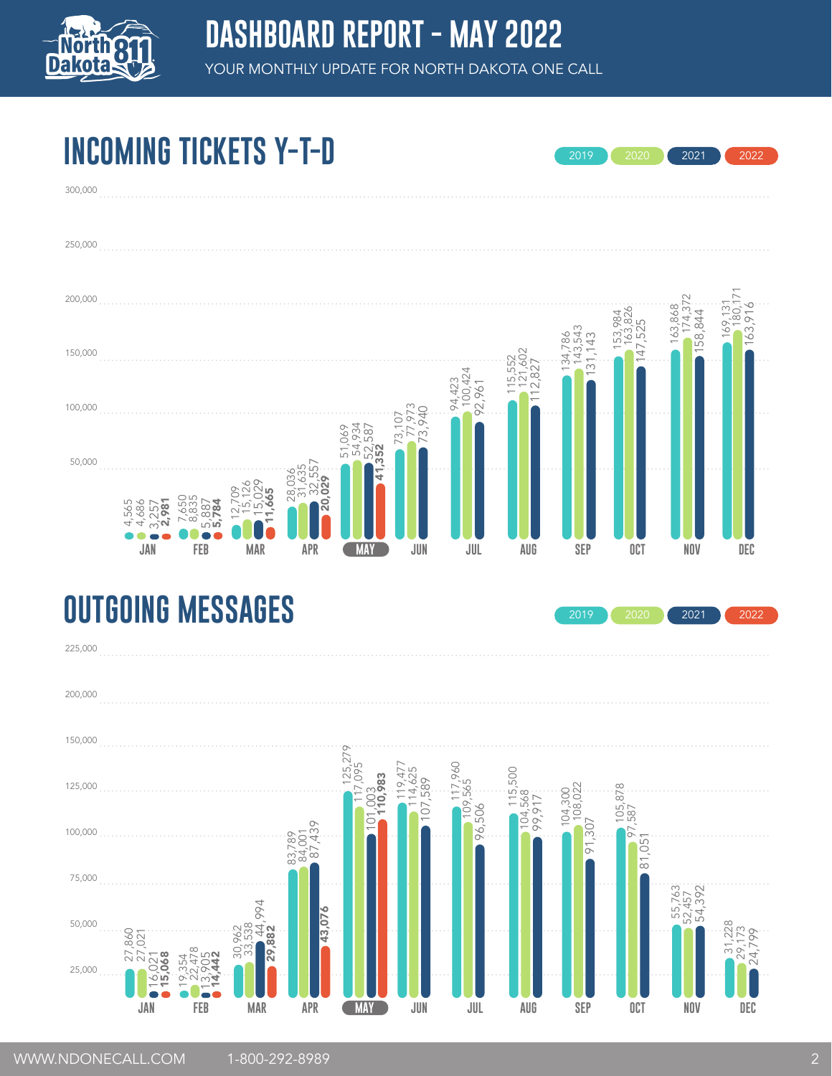

2019 2020 2021 2022

2019 2020 2021 2022

# **INCOMING TICKETS Y-T-D**



#### **OUTGOING MESSAGES**

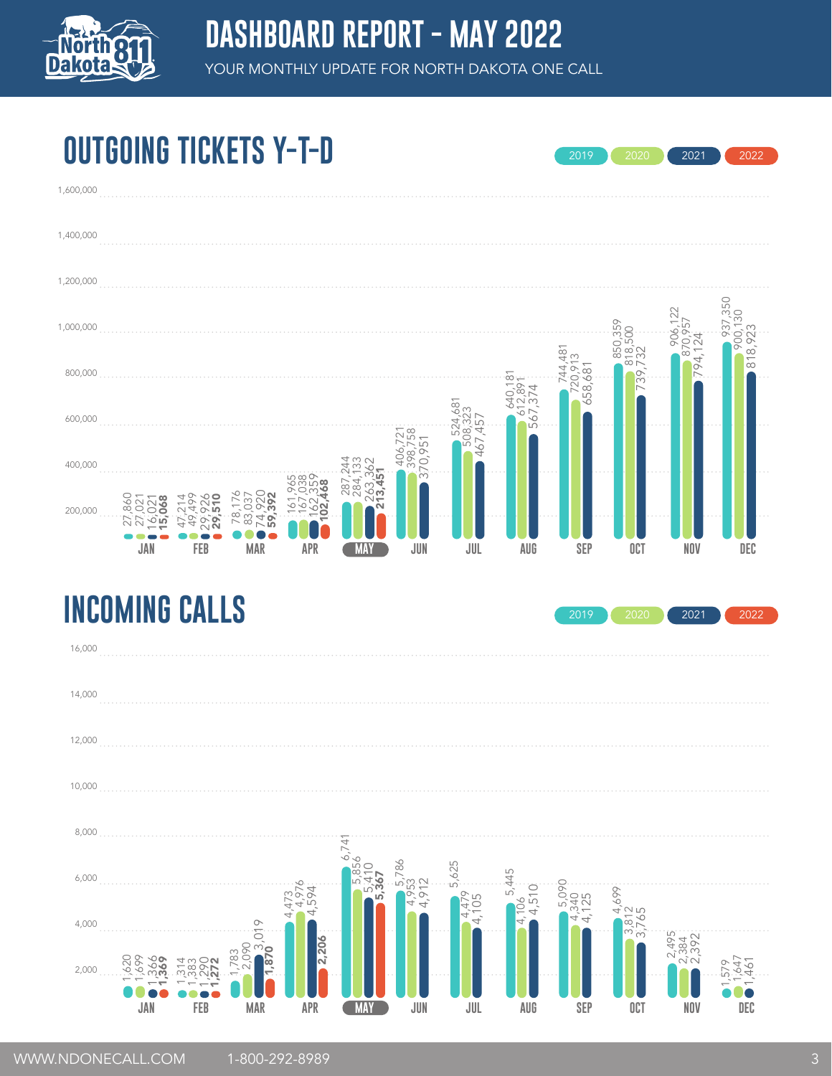

2019 2020 2021 2022

# **OUTGOING TICKETS Y-T-D**

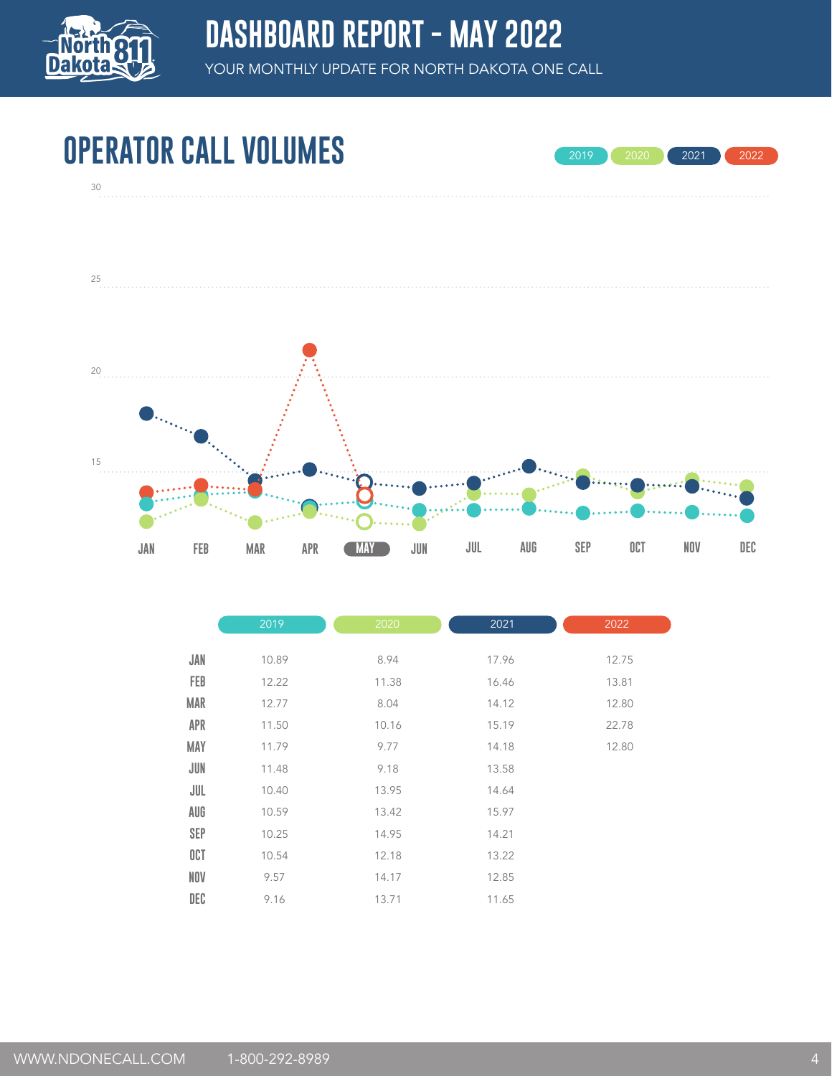

## **OPERATOR CALL VOLUMES**



2019 2020 2021 2022

|            | 2019  | 2020  | 2021  | 2022  |
|------------|-------|-------|-------|-------|
| JAN        | 10.89 | 8.94  | 17.96 | 12.75 |
| <b>FEB</b> | 12.22 | 11.38 | 16.46 | 13.81 |
| <b>MAR</b> | 12.77 | 8.04  | 14.12 | 12.80 |
| <b>APR</b> | 11.50 | 10.16 | 15.19 | 22.78 |
| <b>MAY</b> | 11.79 | 9.77  | 14.18 | 12.80 |
| JUN        | 11.48 | 9.18  | 13.58 |       |
| JUL        | 10.40 | 13.95 | 14.64 |       |
| AUG        | 10.59 | 13.42 | 15.97 |       |
| <b>SEP</b> | 10.25 | 14.95 | 14.21 |       |
| OCT        | 10.54 | 12.18 | 13.22 |       |
| <b>NOV</b> | 9.57  | 14.17 | 12.85 |       |
| DEC        | 9.16  | 13.71 | 11.65 |       |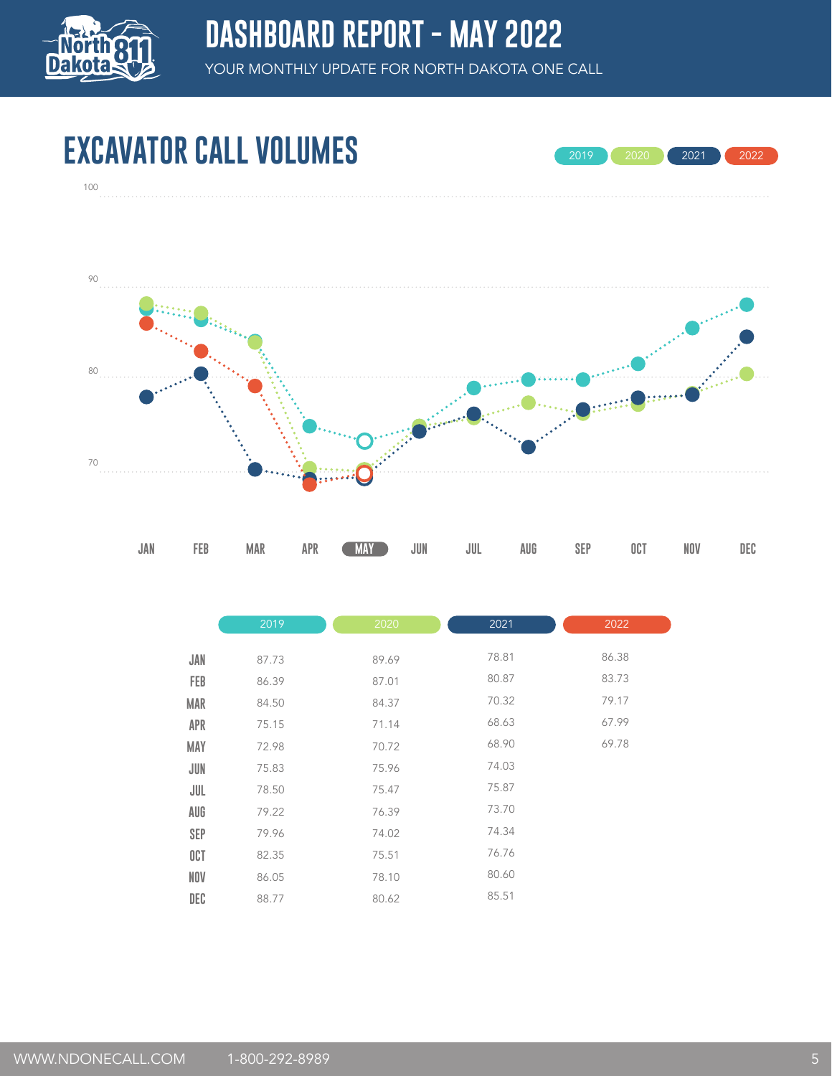

100

YOUR MONTHLY UPDATE FOR NORTH DAKOTA ONE CALL

# **EXCAVATOR CALL VOLUMES**





|            | 2019  | 2020  | 2021  | 2022  |
|------------|-------|-------|-------|-------|
| JAN        | 87.73 | 89.69 | 78.81 | 86.38 |
| FEB        | 86.39 | 87.01 | 80.87 | 83.73 |
| <b>MAR</b> | 84.50 | 84.37 | 70.32 | 79.17 |
| <b>APR</b> | 75.15 | 71.14 | 68.63 | 67.99 |
| MAY        | 72.98 | 70.72 | 68.90 | 69.78 |
| JUN        | 75.83 | 75.96 | 74.03 |       |
| JUL        | 78.50 | 75.47 | 75.87 |       |
| AUG        | 79.22 | 76.39 | 73.70 |       |
| <b>SEP</b> | 79.96 | 74.02 | 74.34 |       |
| OCT        | 82.35 | 75.51 | 76.76 |       |
| <b>NOV</b> | 86.05 | 78.10 | 80.60 |       |
| DEC        | 88.77 | 80.62 | 85.51 |       |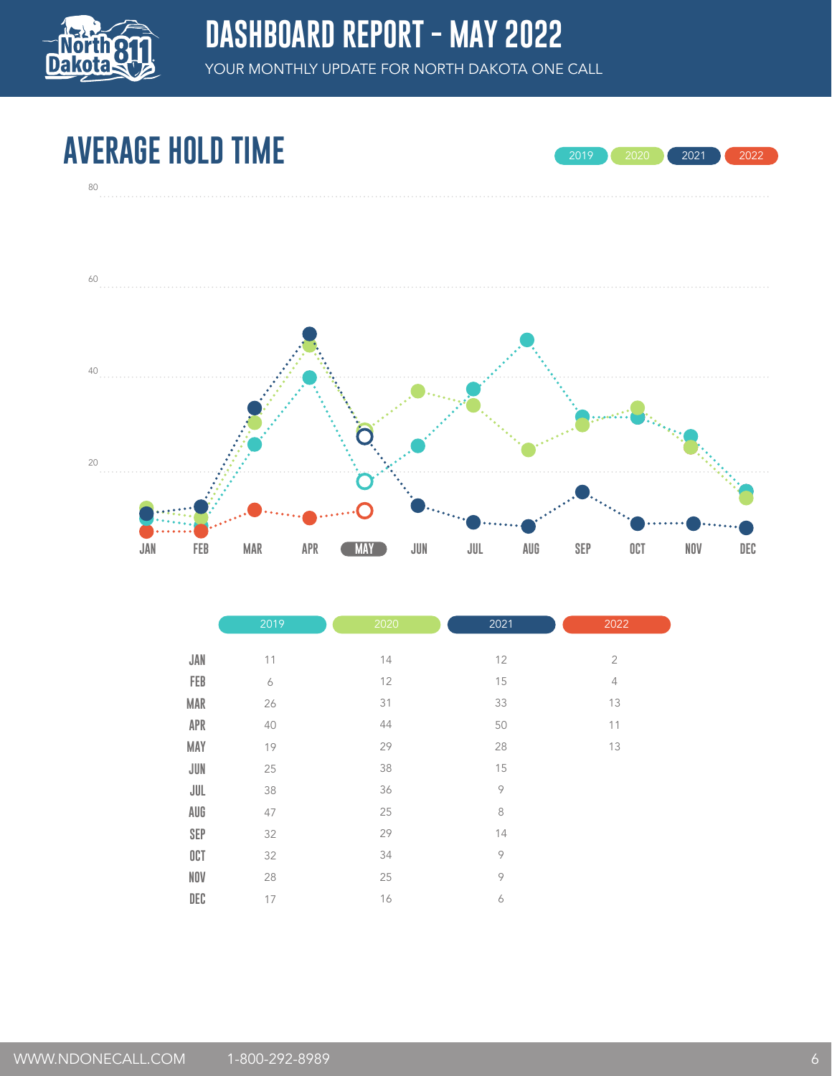

#### **AVERAGE HOLD TIME**



2020 2021 2022

|            | 2019             | 2020 | 2021         | 2022           |
|------------|------------------|------|--------------|----------------|
|            |                  |      |              |                |
| JAN        | 11               | 14   | 12           | $\overline{2}$ |
| FEB        | $\boldsymbol{6}$ | 12   | 15           | $\overline{4}$ |
| <b>MAR</b> | 26               | 31   | 33           | 13             |
| APR        | 40               | 44   | 50           | 11             |
| MAY        | 19               | 29   | 28           | 13             |
| JUN        | 25               | 38   | 15           |                |
| JUL        | 38               | 36   | $\, \varphi$ |                |
| AUG        | 47               | 25   | $\,8\,$      |                |
| <b>SEP</b> | 32               | 29   | 14           |                |
| OCT        | 32               | 34   | $\, \varphi$ |                |
| NOV        | 28               | 25   | 9            |                |
| DEC        | 17               | 16   | 6            |                |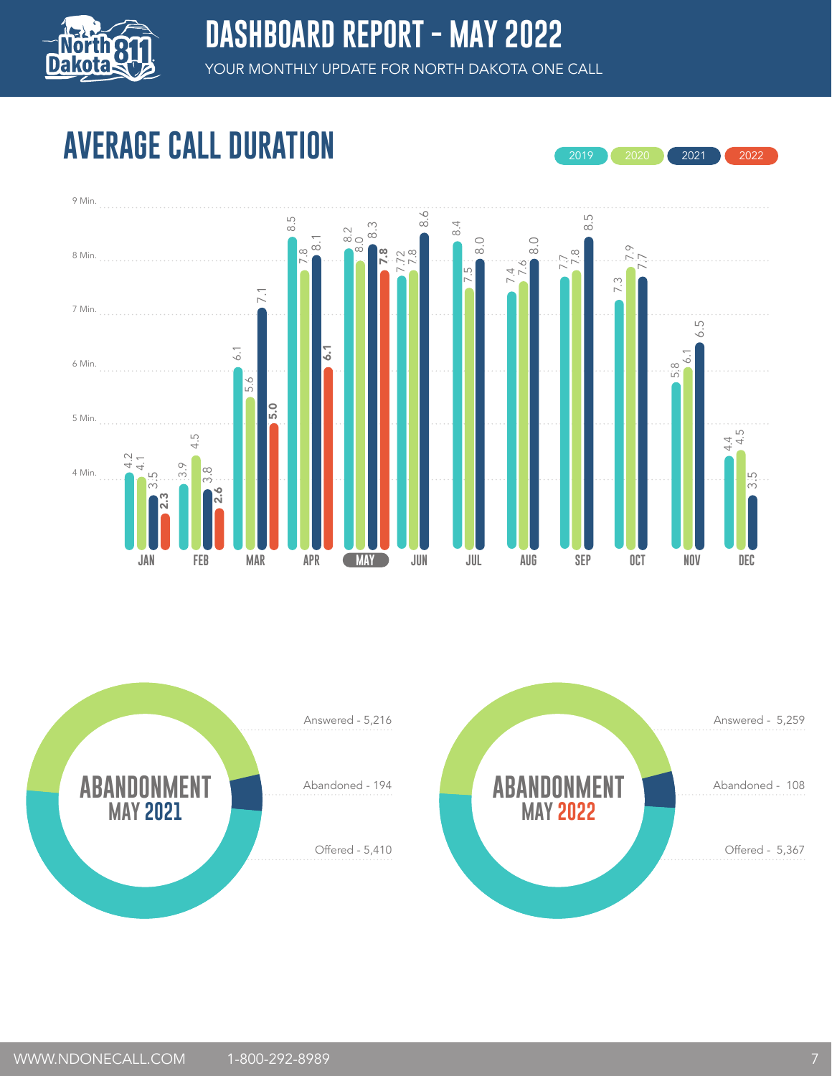

2019 2020 2021 2022

# **AVERAGE CALL DURATION**



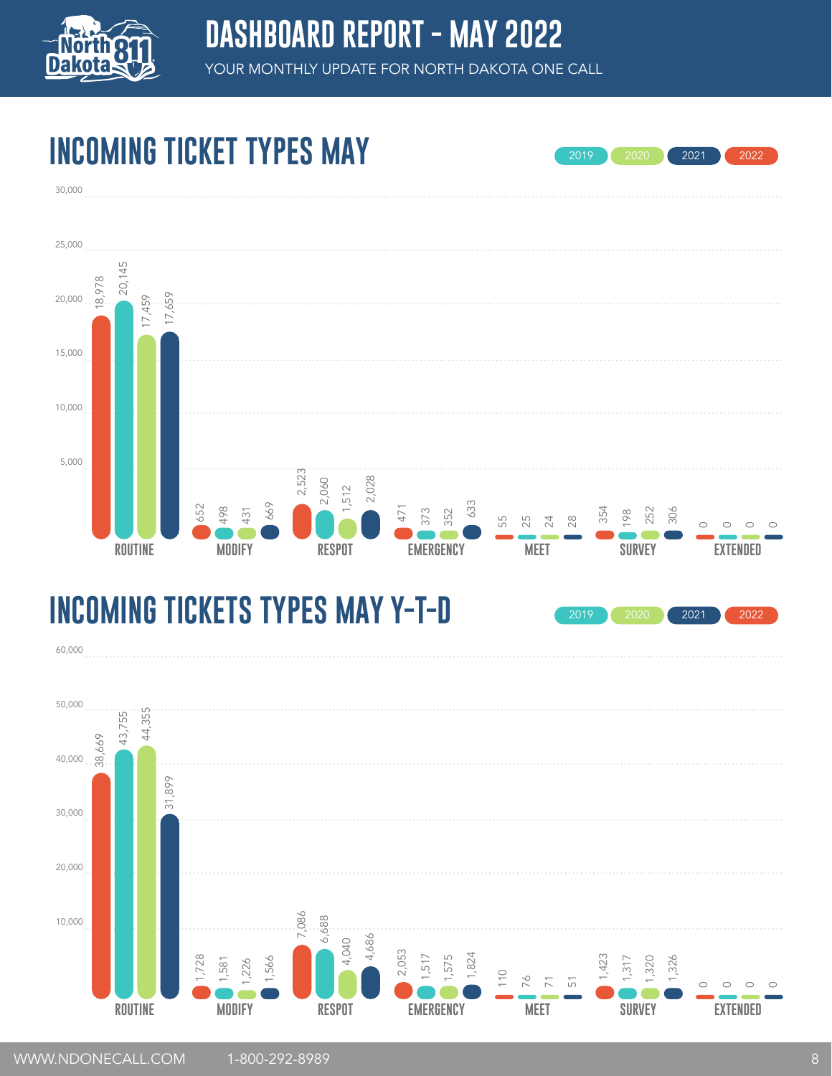

2019 2020 2021 2022

# **INCOMING TICKET TYPES MAY**

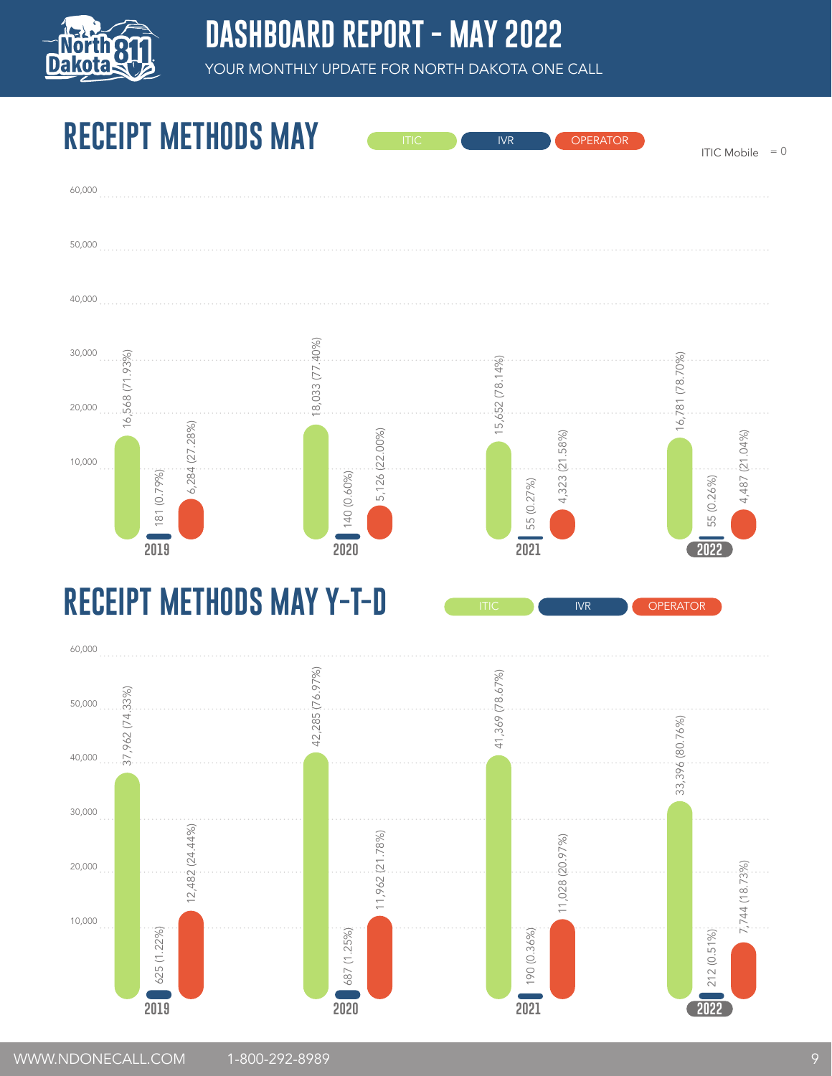

#### **DASHBOARD REPORT - MAY 2022**

YOUR MONTHLY UPDATE FOR NORTH DAKOTA ONE CALL

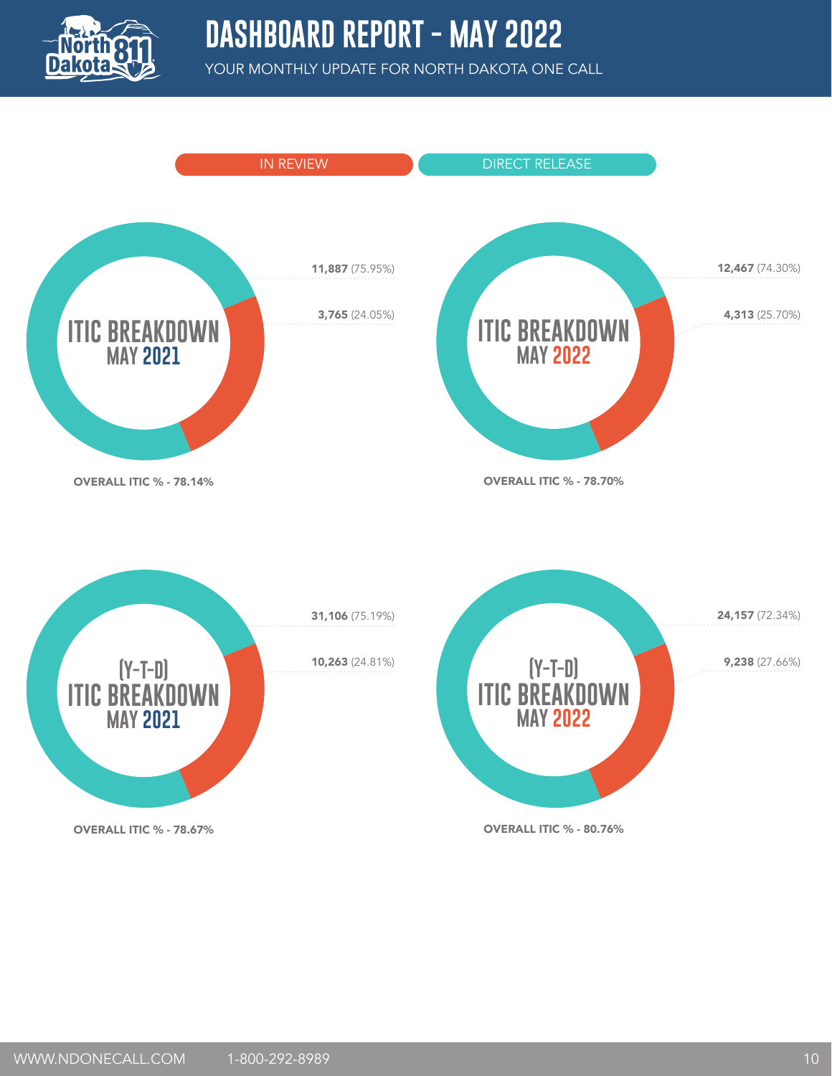

#### **DASHBOARD REPORT - MAY 2022**

YOUR MONTHLY UPDATE FOR NORTH DAKOTA ONE CALL

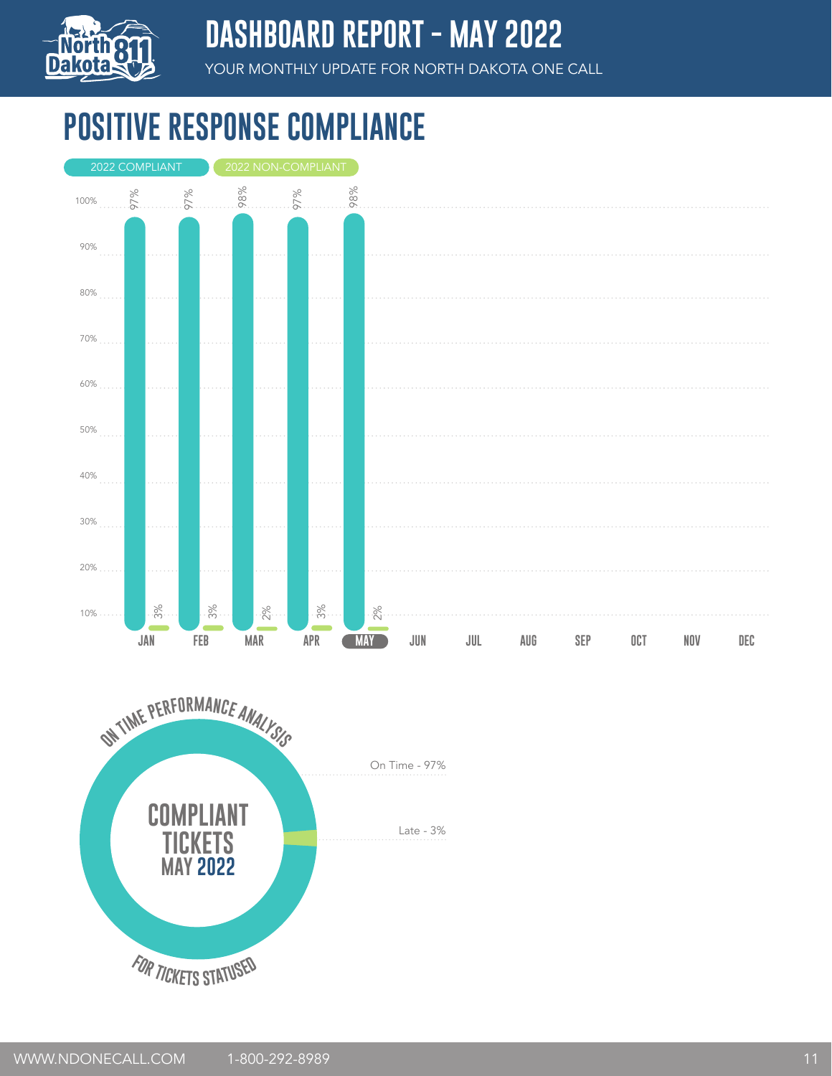

#### **DASHBOARD REPORT - MAY 2022**

YOUR MONTHLY UPDATE FOR NORTH DAKOTA ONE CALL

# **POSITIVE RESPONSE COMPLIANCE**